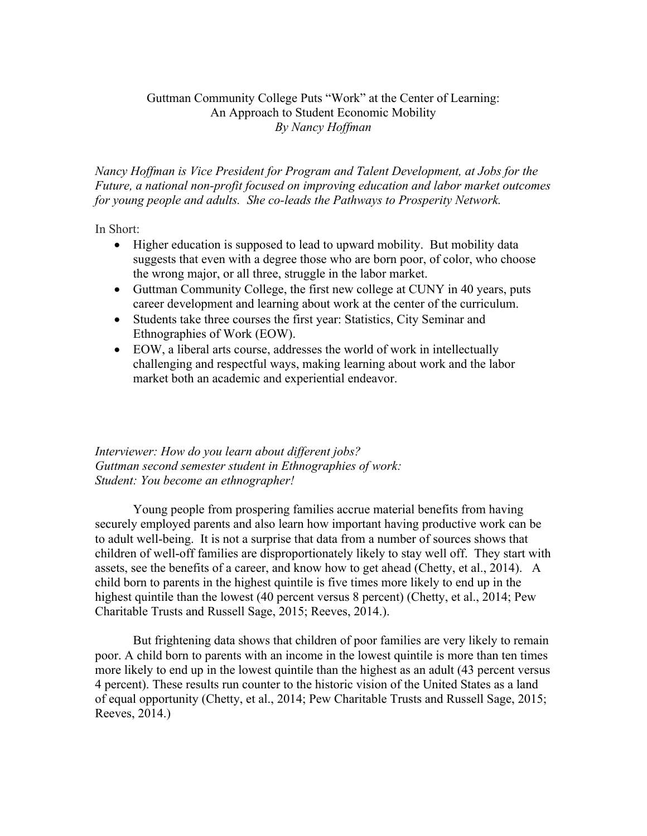# Guttman Community College Puts "Work" at the Center of Learning: An Approach to Student Economic Mobility *By Nancy Hoffman*

*Nancy Hoffman is Vice President for Program and Talent Development, at Jobs for the Future, a national non-profit focused on improving education and labor market outcomes for young people and adults. She co-leads the Pathways to Prosperity Network.*

In Short:

- Higher education is supposed to lead to upward mobility. But mobility data suggests that even with a degree those who are born poor, of color, who choose the wrong major, or all three, struggle in the labor market.
- Guttman Community College, the first new college at CUNY in 40 years, puts career development and learning about work at the center of the curriculum.
- Students take three courses the first year: Statistics, City Seminar and Ethnographies of Work (EOW).
- EOW, a liberal arts course, addresses the world of work in intellectually challenging and respectful ways, making learning about work and the labor market both an academic and experiential endeavor.

# *Interviewer: How do you learn about different jobs? Guttman second semester student in Ethnographies of work: Student: You become an ethnographer!*

Young people from prospering families accrue material benefits from having securely employed parents and also learn how important having productive work can be to adult well-being. It is not a surprise that data from a number of sources shows that children of well-off families are disproportionately likely to stay well off. They start with assets, see the benefits of a career, and know how to get ahead (Chetty, et al., 2014). A child born to parents in the highest quintile is five times more likely to end up in the highest quintile than the lowest (40 percent versus 8 percent) (Chetty, et al., 2014; Pew Charitable Trusts and Russell Sage, 2015; Reeves, 2014.).

But frightening data shows that children of poor families are very likely to remain poor. A child born to parents with an income in the lowest quintile is more than ten times more likely to end up in the lowest quintile than the highest as an adult (43 percent versus 4 percent). These results run counter to the historic vision of the United States as a land of equal opportunity (Chetty, et al., 2014; Pew Charitable Trusts and Russell Sage, 2015; Reeves, 2014.)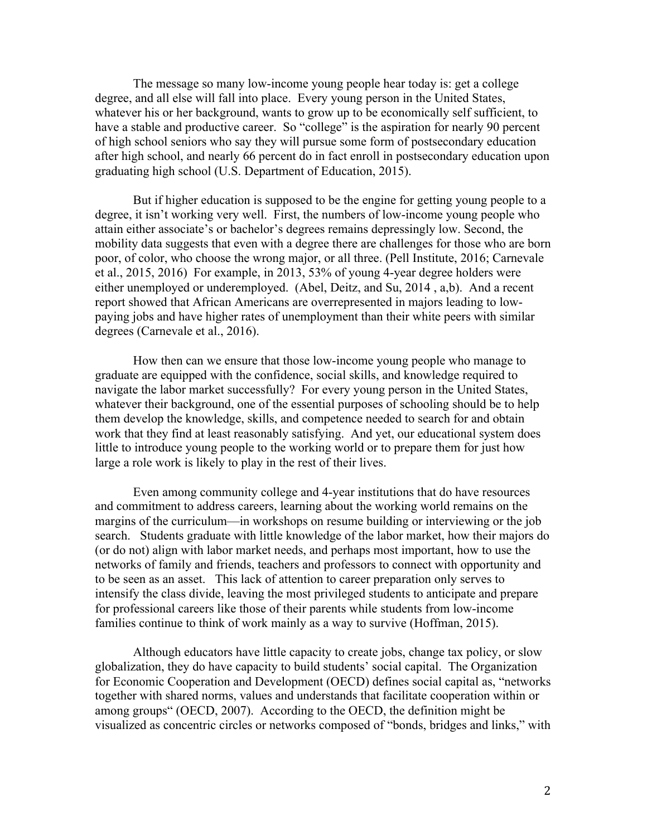The message so many low-income young people hear today is: get a college degree, and all else will fall into place. Every young person in the United States, whatever his or her background, wants to grow up to be economically self sufficient, to have a stable and productive career. So "college" is the aspiration for nearly 90 percent of high school seniors who say they will pursue some form of postsecondary education after high school, and nearly 66 percent do in fact enroll in postsecondary education upon graduating high school (U.S. Department of Education, 2015).

But if higher education is supposed to be the engine for getting young people to a degree, it isn't working very well. First, the numbers of low-income young people who attain either associate's or bachelor's degrees remains depressingly low. Second, the mobility data suggests that even with a degree there are challenges for those who are born poor, of color, who choose the wrong major, or all three. (Pell Institute, 2016; Carnevale et al., 2015, 2016) For example, in 2013, 53% of young 4-year degree holders were either unemployed or underemployed. (Abel, Deitz, and Su, 2014 , a,b). And a recent report showed that African Americans are overrepresented in majors leading to lowpaying jobs and have higher rates of unemployment than their white peers with similar degrees (Carnevale et al., 2016).

How then can we ensure that those low-income young people who manage to graduate are equipped with the confidence, social skills, and knowledge required to navigate the labor market successfully? For every young person in the United States, whatever their background, one of the essential purposes of schooling should be to help them develop the knowledge, skills, and competence needed to search for and obtain work that they find at least reasonably satisfying. And yet, our educational system does little to introduce young people to the working world or to prepare them for just how large a role work is likely to play in the rest of their lives.

Even among community college and 4-year institutions that do have resources and commitment to address careers, learning about the working world remains on the margins of the curriculum—in workshops on resume building or interviewing or the job search. Students graduate with little knowledge of the labor market, how their majors do (or do not) align with labor market needs, and perhaps most important, how to use the networks of family and friends, teachers and professors to connect with opportunity and to be seen as an asset. This lack of attention to career preparation only serves to intensify the class divide, leaving the most privileged students to anticipate and prepare for professional careers like those of their parents while students from low-income families continue to think of work mainly as a way to survive (Hoffman, 2015).

Although educators have little capacity to create jobs, change tax policy, or slow globalization, they do have capacity to build students' social capital. The Organization for Economic Cooperation and Development (OECD) defines social capital as, "networks together with shared norms, values and understands that facilitate cooperation within or among groups" (OECD, 2007). According to the OECD, the definition might be visualized as concentric circles or networks composed of "bonds, bridges and links," with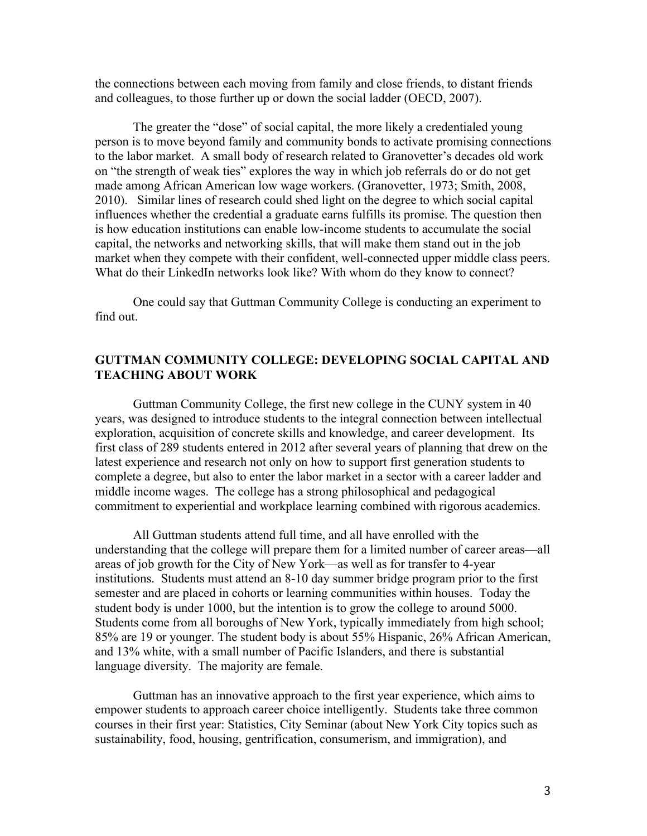the connections between each moving from family and close friends, to distant friends and colleagues, to those further up or down the social ladder (OECD, 2007).

The greater the "dose" of social capital, the more likely a credentialed young person is to move beyond family and community bonds to activate promising connections to the labor market. A small body of research related to Granovetter's decades old work on "the strength of weak ties" explores the way in which job referrals do or do not get made among African American low wage workers. (Granovetter, 1973; Smith, 2008, 2010). Similar lines of research could shed light on the degree to which social capital influences whether the credential a graduate earns fulfills its promise. The question then is how education institutions can enable low-income students to accumulate the social capital, the networks and networking skills, that will make them stand out in the job market when they compete with their confident, well-connected upper middle class peers. What do their LinkedIn networks look like? With whom do they know to connect?

One could say that Guttman Community College is conducting an experiment to find out.

# **GUTTMAN COMMUNITY COLLEGE: DEVELOPING SOCIAL CAPITAL AND TEACHING ABOUT WORK**

Guttman Community College, the first new college in the CUNY system in 40 years, was designed to introduce students to the integral connection between intellectual exploration, acquisition of concrete skills and knowledge, and career development. Its first class of 289 students entered in 2012 after several years of planning that drew on the latest experience and research not only on how to support first generation students to complete a degree, but also to enter the labor market in a sector with a career ladder and middle income wages. The college has a strong philosophical and pedagogical commitment to experiential and workplace learning combined with rigorous academics.

All Guttman students attend full time, and all have enrolled with the understanding that the college will prepare them for a limited number of career areas—all areas of job growth for the City of New York—as well as for transfer to 4-year institutions. Students must attend an 8-10 day summer bridge program prior to the first semester and are placed in cohorts or learning communities within houses. Today the student body is under 1000, but the intention is to grow the college to around 5000. Students come from all boroughs of New York, typically immediately from high school; 85% are 19 or younger. The student body is about 55% Hispanic, 26% African American, and 13% white, with a small number of Pacific Islanders, and there is substantial language diversity. The majority are female.

Guttman has an innovative approach to the first year experience, which aims to empower students to approach career choice intelligently. Students take three common courses in their first year: Statistics, City Seminar (about New York City topics such as sustainability, food, housing, gentrification, consumerism, and immigration), and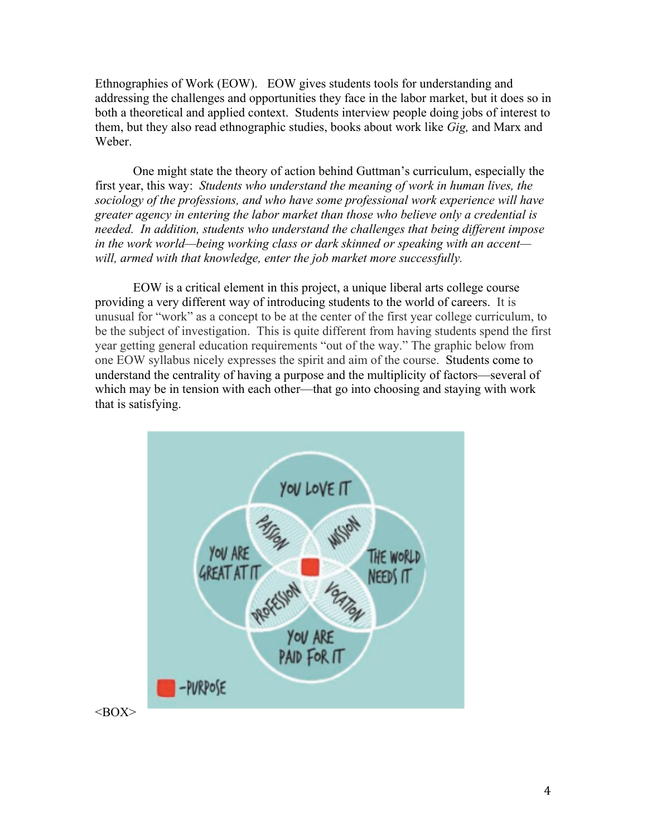Ethnographies of Work (EOW). EOW gives students tools for understanding and addressing the challenges and opportunities they face in the labor market, but it does so in both a theoretical and applied context. Students interview people doing jobs of interest to them, but they also read ethnographic studies, books about work like *Gig,* and Marx and Weber.

One might state the theory of action behind Guttman's curriculum, especially the first year, this way: *Students who understand the meaning of work in human lives, the sociology of the professions, and who have some professional work experience will have greater agency in entering the labor market than those who believe only a credential is needed. In addition, students who understand the challenges that being different impose in the work world—being working class or dark skinned or speaking with an accent will, armed with that knowledge, enter the job market more successfully.*

EOW is a critical element in this project, a unique liberal arts college course providing a very different way of introducing students to the world of careers. It is unusual for "work" as a concept to be at the center of the first year college curriculum, to be the subject of investigation. This is quite different from having students spend the first year getting general education requirements "out of the way." The graphic below from one EOW syllabus nicely expresses the spirit and aim of the course. Students come to understand the centrality of having a purpose and the multiplicity of factors—several of which may be in tension with each other—that go into choosing and staying with work that is satisfying.

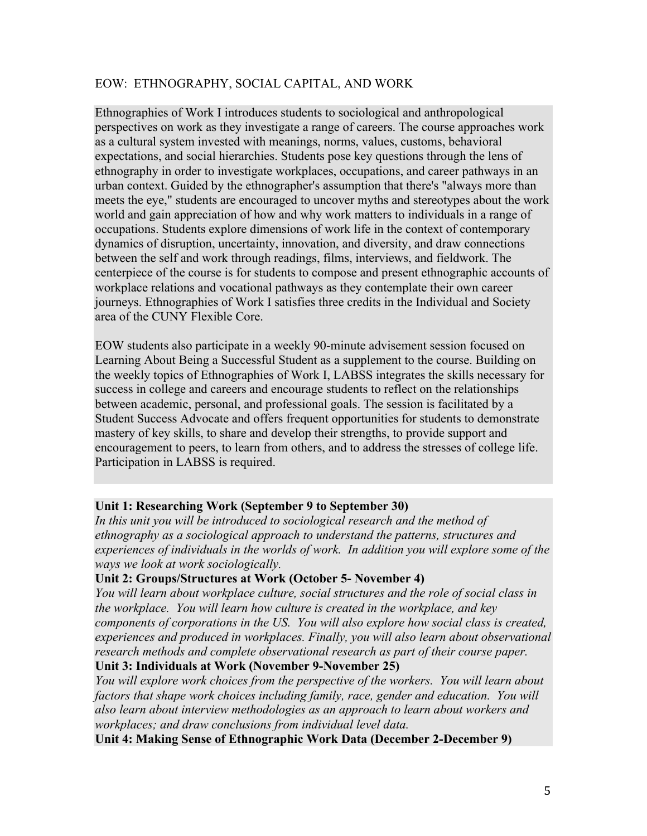# EOW: ETHNOGRAPHY, SOCIAL CAPITAL, AND WORK

Ethnographies of Work I introduces students to sociological and anthropological perspectives on work as they investigate a range of careers. The course approaches work as a cultural system invested with meanings, norms, values, customs, behavioral expectations, and social hierarchies. Students pose key questions through the lens of ethnography in order to investigate workplaces, occupations, and career pathways in an urban context. Guided by the ethnographer's assumption that there's "always more than meets the eye," students are encouraged to uncover myths and stereotypes about the work world and gain appreciation of how and why work matters to individuals in a range of occupations. Students explore dimensions of work life in the context of contemporary dynamics of disruption, uncertainty, innovation, and diversity, and draw connections between the self and work through readings, films, interviews, and fieldwork. The centerpiece of the course is for students to compose and present ethnographic accounts of workplace relations and vocational pathways as they contemplate their own career journeys. Ethnographies of Work I satisfies three credits in the Individual and Society area of the CUNY Flexible Core.

EOW students also participate in a weekly 90-minute advisement session focused on Learning About Being a Successful Student as a supplement to the course. Building on the weekly topics of Ethnographies of Work I, LABSS integrates the skills necessary for success in college and careers and encourage students to reflect on the relationships between academic, personal, and professional goals. The session is facilitated by a Student Success Advocate and offers frequent opportunities for students to demonstrate mastery of key skills, to share and develop their strengths, to provide support and encouragement to peers, to learn from others, and to address the stresses of college life. Participation in LABSS is required.

## **Unit 1: Researching Work (September 9 to September 30)**

In this unit you will be introduced to sociological research and the method of *ethnography as a sociological approach to understand the patterns, structures and experiences of individuals in the worlds of work. In addition you will explore some of the ways we look at work sociologically.*

## **Unit 2: Groups/Structures at Work (October 5- November 4)**

*You will learn about workplace culture, social structures and the role of social class in the workplace. You will learn how culture is created in the workplace, and key components of corporations in the US. You will also explore how social class is created, experiences and produced in workplaces. Finally, you will also learn about observational*  research methods and complete observational research as part of their course paper. **Unit 3: Individuals at Work (November 9-November 25)**

*You will explore work choices from the perspective of the workers. You will learn about factors that shape work choices including family, race, gender and education. You will also learn about interview methodologies as an approach to learn about workers and workplaces; and draw conclusions from individual level data.*

**Unit 4: Making Sense of Ethnographic Work Data (December 2-December 9)**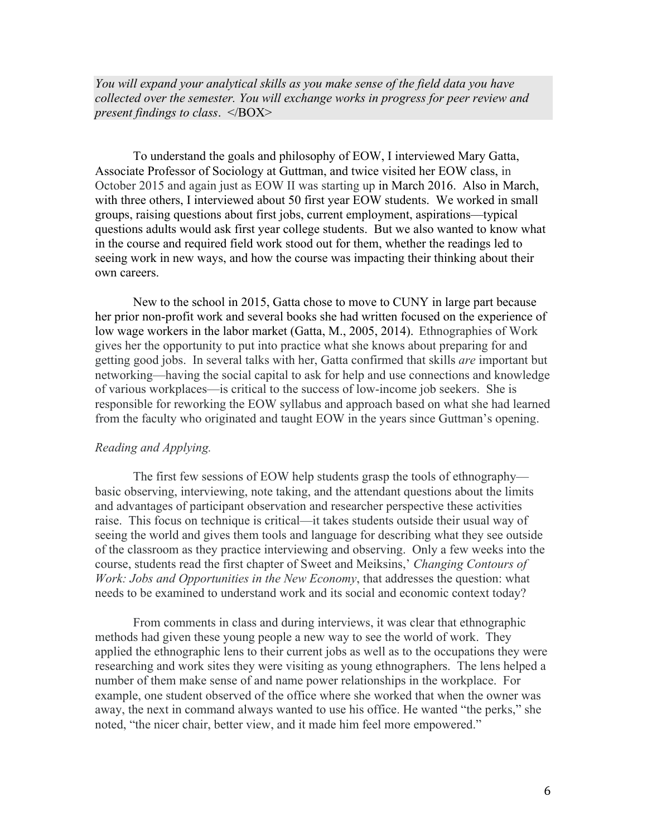*You will expand your analytical skills as you make sense of the field data you have collected over the semester. You will exchange works in progress for peer review and present findings to class*. </BOX>

To understand the goals and philosophy of EOW, I interviewed Mary Gatta, Associate Professor of Sociology at Guttman, and twice visited her EOW class, in October 2015 and again just as EOW II was starting up in March 2016. Also in March, with three others, I interviewed about 50 first year EOW students. We worked in small groups, raising questions about first jobs, current employment, aspirations—typical questions adults would ask first year college students. But we also wanted to know what in the course and required field work stood out for them, whether the readings led to seeing work in new ways, and how the course was impacting their thinking about their own careers.

New to the school in 2015, Gatta chose to move to CUNY in large part because her prior non-profit work and several books she had written focused on the experience of low wage workers in the labor market (Gatta, M., 2005, 2014). Ethnographies of Work gives her the opportunity to put into practice what she knows about preparing for and getting good jobs. In several talks with her, Gatta confirmed that skills *are* important but networking—having the social capital to ask for help and use connections and knowledge of various workplaces—is critical to the success of low-income job seekers. She is responsible for reworking the EOW syllabus and approach based on what she had learned from the faculty who originated and taught EOW in the years since Guttman's opening.

#### *Reading and Applying.*

The first few sessions of EOW help students grasp the tools of ethnography basic observing, interviewing, note taking, and the attendant questions about the limits and advantages of participant observation and researcher perspective these activities raise. This focus on technique is critical—it takes students outside their usual way of seeing the world and gives them tools and language for describing what they see outside of the classroom as they practice interviewing and observing. Only a few weeks into the course, students read the first chapter of Sweet and Meiksins,' *Changing Contours of Work: Jobs and Opportunities in the New Economy*, that addresses the question: what needs to be examined to understand work and its social and economic context today?

From comments in class and during interviews, it was clear that ethnographic methods had given these young people a new way to see the world of work. They applied the ethnographic lens to their current jobs as well as to the occupations they were researching and work sites they were visiting as young ethnographers. The lens helped a number of them make sense of and name power relationships in the workplace. For example, one student observed of the office where she worked that when the owner was away, the next in command always wanted to use his office. He wanted "the perks," she noted, "the nicer chair, better view, and it made him feel more empowered."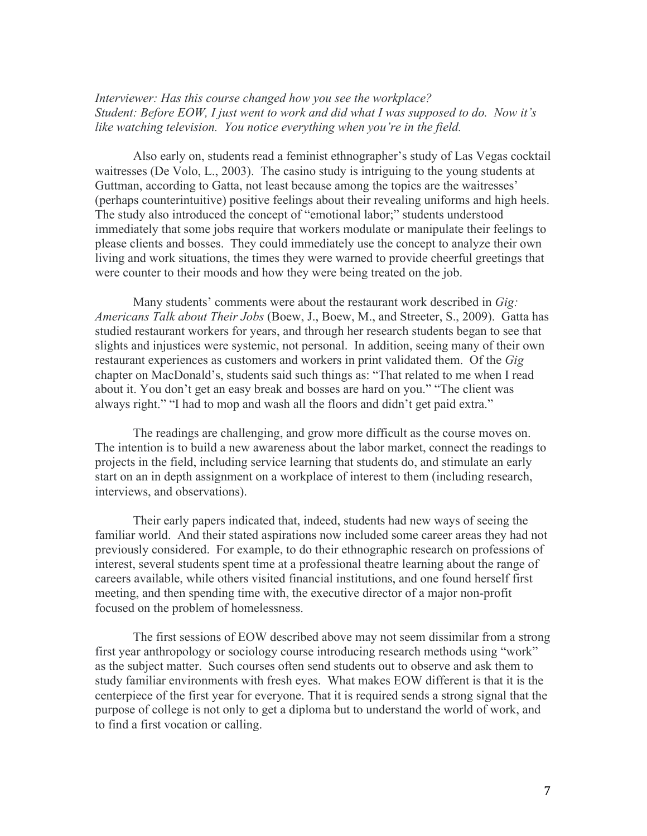*Interviewer: Has this course changed how you see the workplace? Student: Before EOW, I just went to work and did what I was supposed to do. Now it's like watching television. You notice everything when you're in the field.* 

Also early on, students read a feminist ethnographer's study of Las Vegas cocktail waitresses (De Volo, L., 2003). The casino study is intriguing to the young students at Guttman, according to Gatta, not least because among the topics are the waitresses' (perhaps counterintuitive) positive feelings about their revealing uniforms and high heels. The study also introduced the concept of "emotional labor;" students understood immediately that some jobs require that workers modulate or manipulate their feelings to please clients and bosses. They could immediately use the concept to analyze their own living and work situations, the times they were warned to provide cheerful greetings that were counter to their moods and how they were being treated on the job.

Many students' comments were about the restaurant work described in *Gig: Americans Talk about Their Jobs* (Boew, J., Boew, M., and Streeter, S., 2009). Gatta has studied restaurant workers for years, and through her research students began to see that slights and injustices were systemic, not personal. In addition, seeing many of their own restaurant experiences as customers and workers in print validated them. Of the *Gig* chapter on MacDonald's, students said such things as: "That related to me when I read about it. You don't get an easy break and bosses are hard on you." "The client was always right." "I had to mop and wash all the floors and didn't get paid extra."

The readings are challenging, and grow more difficult as the course moves on. The intention is to build a new awareness about the labor market, connect the readings to projects in the field, including service learning that students do, and stimulate an early start on an in depth assignment on a workplace of interest to them (including research, interviews, and observations).

Their early papers indicated that, indeed, students had new ways of seeing the familiar world. And their stated aspirations now included some career areas they had not previously considered. For example, to do their ethnographic research on professions of interest, several students spent time at a professional theatre learning about the range of careers available, while others visited financial institutions, and one found herself first meeting, and then spending time with, the executive director of a major non-profit focused on the problem of homelessness.

The first sessions of EOW described above may not seem dissimilar from a strong first year anthropology or sociology course introducing research methods using "work" as the subject matter. Such courses often send students out to observe and ask them to study familiar environments with fresh eyes. What makes EOW different is that it is the centerpiece of the first year for everyone. That it is required sends a strong signal that the purpose of college is not only to get a diploma but to understand the world of work, and to find a first vocation or calling.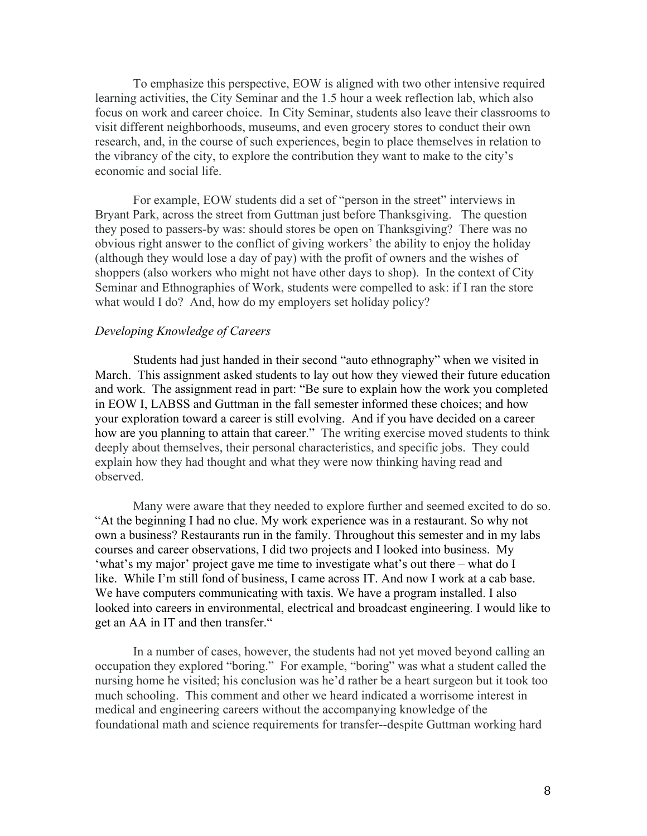To emphasize this perspective, EOW is aligned with two other intensive required learning activities, the City Seminar and the 1.5 hour a week reflection lab, which also focus on work and career choice. In City Seminar, students also leave their classrooms to visit different neighborhoods, museums, and even grocery stores to conduct their own research, and, in the course of such experiences, begin to place themselves in relation to the vibrancy of the city, to explore the contribution they want to make to the city's economic and social life.

For example, EOW students did a set of "person in the street" interviews in Bryant Park, across the street from Guttman just before Thanksgiving. The question they posed to passers-by was: should stores be open on Thanksgiving? There was no obvious right answer to the conflict of giving workers' the ability to enjoy the holiday (although they would lose a day of pay) with the profit of owners and the wishes of shoppers (also workers who might not have other days to shop). In the context of City Seminar and Ethnographies of Work, students were compelled to ask: if I ran the store what would I do? And, how do my employers set holiday policy?

### *Developing Knowledge of Careers*

Students had just handed in their second "auto ethnography" when we visited in March. This assignment asked students to lay out how they viewed their future education and work. The assignment read in part: "Be sure to explain how the work you completed in EOW I, LABSS and Guttman in the fall semester informed these choices; and how your exploration toward a career is still evolving. And if you have decided on a career how are you planning to attain that career." The writing exercise moved students to think deeply about themselves, their personal characteristics, and specific jobs. They could explain how they had thought and what they were now thinking having read and observed.

Many were aware that they needed to explore further and seemed excited to do so. "At the beginning I had no clue. My work experience was in a restaurant. So why not own a business? Restaurants run in the family. Throughout this semester and in my labs courses and career observations, I did two projects and I looked into business. My 'what's my major' project gave me time to investigate what's out there – what do I like. While I'm still fond of business, I came across IT. And now I work at a cab base. We have computers communicating with taxis. We have a program installed. I also looked into careers in environmental, electrical and broadcast engineering. I would like to get an AA in IT and then transfer."

In a number of cases, however, the students had not yet moved beyond calling an occupation they explored "boring." For example, "boring" was what a student called the nursing home he visited; his conclusion was he'd rather be a heart surgeon but it took too much schooling. This comment and other we heard indicated a worrisome interest in medical and engineering careers without the accompanying knowledge of the foundational math and science requirements for transfer--despite Guttman working hard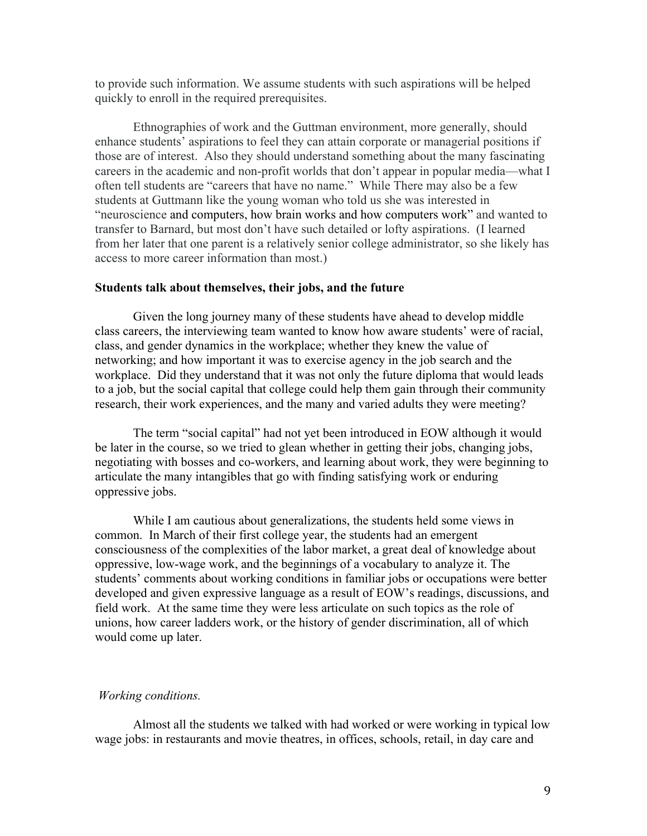to provide such information. We assume students with such aspirations will be helped quickly to enroll in the required prerequisites.

Ethnographies of work and the Guttman environment, more generally, should enhance students' aspirations to feel they can attain corporate or managerial positions if those are of interest. Also they should understand something about the many fascinating careers in the academic and non-profit worlds that don't appear in popular media—what I often tell students are "careers that have no name." While There may also be a few students at Guttmann like the young woman who told us she was interested in "neuroscience and computers, how brain works and how computers work" and wanted to transfer to Barnard, but most don't have such detailed or lofty aspirations. (I learned from her later that one parent is a relatively senior college administrator, so she likely has access to more career information than most.)

#### **Students talk about themselves, their jobs, and the future**

Given the long journey many of these students have ahead to develop middle class careers, the interviewing team wanted to know how aware students' were of racial, class, and gender dynamics in the workplace; whether they knew the value of networking; and how important it was to exercise agency in the job search and the workplace. Did they understand that it was not only the future diploma that would leads to a job, but the social capital that college could help them gain through their community research, their work experiences, and the many and varied adults they were meeting?

The term "social capital" had not yet been introduced in EOW although it would be later in the course, so we tried to glean whether in getting their jobs, changing jobs, negotiating with bosses and co-workers, and learning about work, they were beginning to articulate the many intangibles that go with finding satisfying work or enduring oppressive jobs.

While I am cautious about generalizations, the students held some views in common. In March of their first college year, the students had an emergent consciousness of the complexities of the labor market, a great deal of knowledge about oppressive, low-wage work, and the beginnings of a vocabulary to analyze it. The students' comments about working conditions in familiar jobs or occupations were better developed and given expressive language as a result of EOW's readings, discussions, and field work. At the same time they were less articulate on such topics as the role of unions, how career ladders work, or the history of gender discrimination, all of which would come up later.

#### *Working conditions.*

Almost all the students we talked with had worked or were working in typical low wage jobs: in restaurants and movie theatres, in offices, schools, retail, in day care and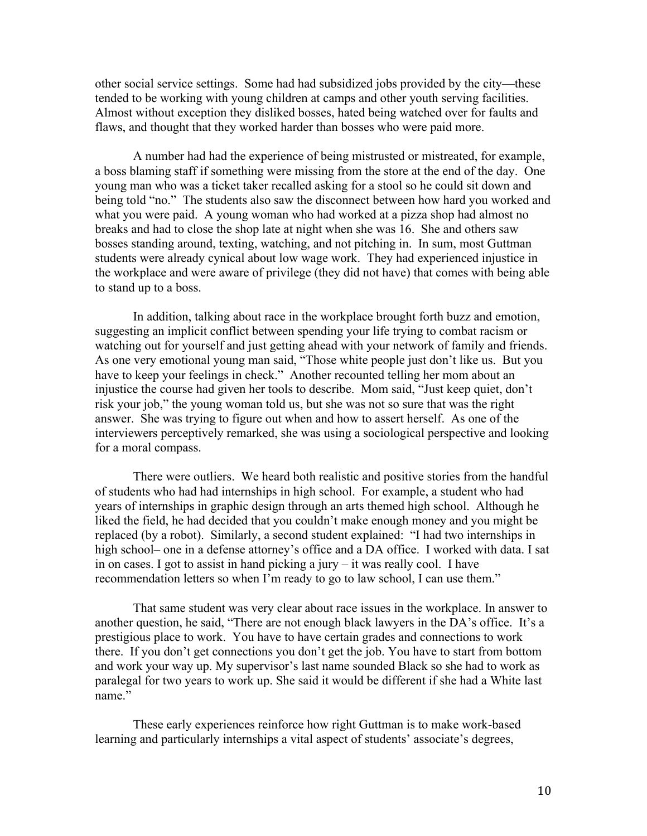other social service settings. Some had had subsidized jobs provided by the city—these tended to be working with young children at camps and other youth serving facilities. Almost without exception they disliked bosses, hated being watched over for faults and flaws, and thought that they worked harder than bosses who were paid more.

A number had had the experience of being mistrusted or mistreated, for example, a boss blaming staff if something were missing from the store at the end of the day. One young man who was a ticket taker recalled asking for a stool so he could sit down and being told "no." The students also saw the disconnect between how hard you worked and what you were paid. A young woman who had worked at a pizza shop had almost no breaks and had to close the shop late at night when she was 16. She and others saw bosses standing around, texting, watching, and not pitching in. In sum, most Guttman students were already cynical about low wage work. They had experienced injustice in the workplace and were aware of privilege (they did not have) that comes with being able to stand up to a boss.

In addition, talking about race in the workplace brought forth buzz and emotion, suggesting an implicit conflict between spending your life trying to combat racism or watching out for yourself and just getting ahead with your network of family and friends. As one very emotional young man said, "Those white people just don't like us. But you have to keep your feelings in check." Another recounted telling her mom about an injustice the course had given her tools to describe. Mom said, "Just keep quiet, don't risk your job," the young woman told us, but she was not so sure that was the right answer. She was trying to figure out when and how to assert herself. As one of the interviewers perceptively remarked, she was using a sociological perspective and looking for a moral compass.

There were outliers. We heard both realistic and positive stories from the handful of students who had had internships in high school. For example, a student who had years of internships in graphic design through an arts themed high school. Although he liked the field, he had decided that you couldn't make enough money and you might be replaced (by a robot). Similarly, a second student explained: "I had two internships in high school– one in a defense attorney's office and a DA office. I worked with data. I sat in on cases. I got to assist in hand picking a jury – it was really cool. I have recommendation letters so when I'm ready to go to law school, I can use them."

That same student was very clear about race issues in the workplace. In answer to another question, he said, "There are not enough black lawyers in the DA's office. It's a prestigious place to work. You have to have certain grades and connections to work there. If you don't get connections you don't get the job. You have to start from bottom and work your way up. My supervisor's last name sounded Black so she had to work as paralegal for two years to work up. She said it would be different if she had a White last name."

These early experiences reinforce how right Guttman is to make work-based learning and particularly internships a vital aspect of students' associate's degrees,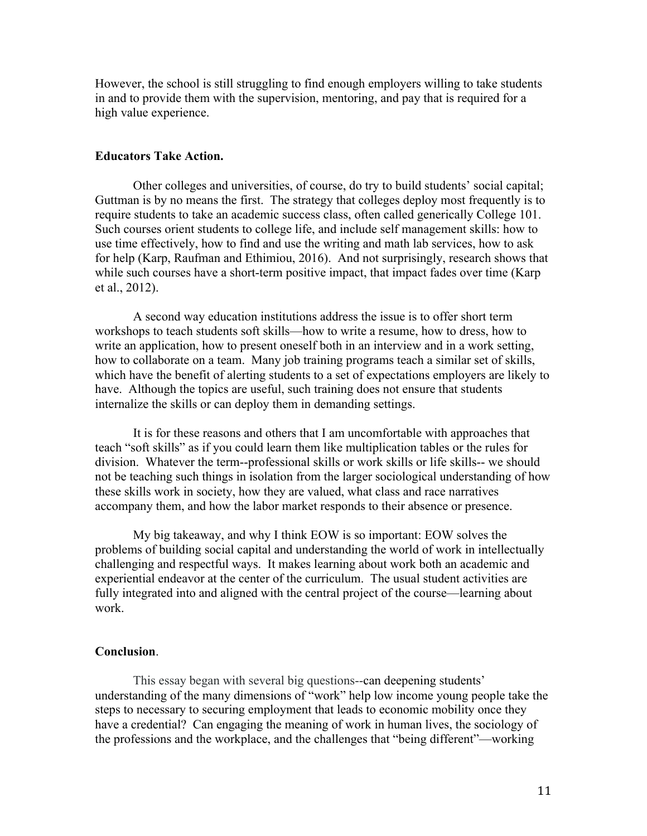However, the school is still struggling to find enough employers willing to take students in and to provide them with the supervision, mentoring, and pay that is required for a high value experience.

### **Educators Take Action.**

Other colleges and universities, of course, do try to build students' social capital; Guttman is by no means the first. The strategy that colleges deploy most frequently is to require students to take an academic success class, often called generically College 101. Such courses orient students to college life, and include self management skills: how to use time effectively, how to find and use the writing and math lab services, how to ask for help (Karp, Raufman and Ethimiou, 2016). And not surprisingly, research shows that while such courses have a short-term positive impact, that impact fades over time (Karp et al., 2012).

A second way education institutions address the issue is to offer short term workshops to teach students soft skills—how to write a resume, how to dress, how to write an application, how to present oneself both in an interview and in a work setting, how to collaborate on a team. Many job training programs teach a similar set of skills, which have the benefit of alerting students to a set of expectations employers are likely to have. Although the topics are useful, such training does not ensure that students internalize the skills or can deploy them in demanding settings.

It is for these reasons and others that I am uncomfortable with approaches that teach "soft skills" as if you could learn them like multiplication tables or the rules for division. Whatever the term--professional skills or work skills or life skills-- we should not be teaching such things in isolation from the larger sociological understanding of how these skills work in society, how they are valued, what class and race narratives accompany them, and how the labor market responds to their absence or presence.

My big takeaway, and why I think EOW is so important: EOW solves the problems of building social capital and understanding the world of work in intellectually challenging and respectful ways. It makes learning about work both an academic and experiential endeavor at the center of the curriculum. The usual student activities are fully integrated into and aligned with the central project of the course—learning about work.

### **Conclusion**.

This essay began with several big questions--can deepening students' understanding of the many dimensions of "work" help low income young people take the steps to necessary to securing employment that leads to economic mobility once they have a credential? Can engaging the meaning of work in human lives, the sociology of the professions and the workplace, and the challenges that "being different"—working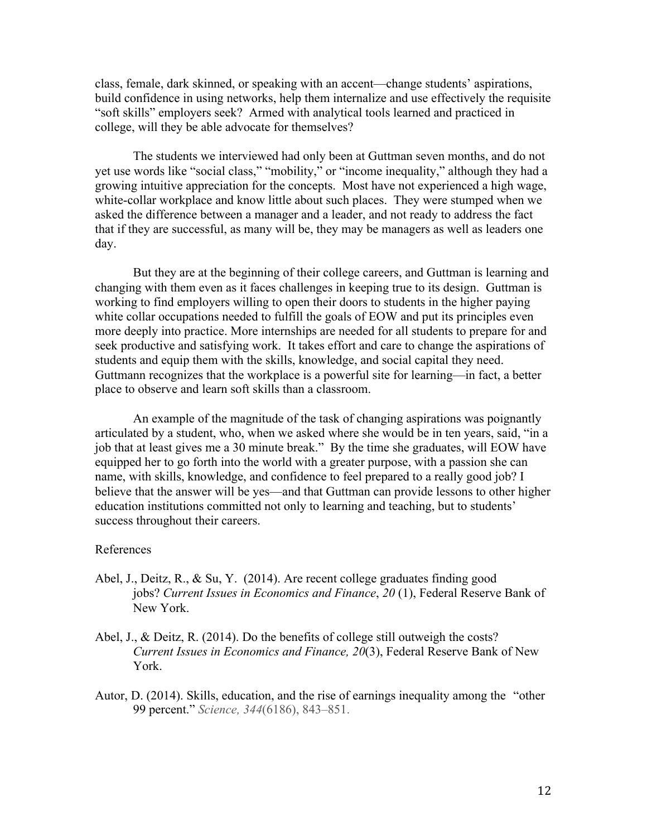class, female, dark skinned, or speaking with an accent—change students' aspirations, build confidence in using networks, help them internalize and use effectively the requisite "soft skills" employers seek? Armed with analytical tools learned and practiced in college, will they be able advocate for themselves?

The students we interviewed had only been at Guttman seven months, and do not yet use words like "social class," "mobility," or "income inequality," although they had a growing intuitive appreciation for the concepts. Most have not experienced a high wage, white-collar workplace and know little about such places. They were stumped when we asked the difference between a manager and a leader, and not ready to address the fact that if they are successful, as many will be, they may be managers as well as leaders one day.

But they are at the beginning of their college careers, and Guttman is learning and changing with them even as it faces challenges in keeping true to its design. Guttman is working to find employers willing to open their doors to students in the higher paying white collar occupations needed to fulfill the goals of EOW and put its principles even more deeply into practice. More internships are needed for all students to prepare for and seek productive and satisfying work. It takes effort and care to change the aspirations of students and equip them with the skills, knowledge, and social capital they need. Guttmann recognizes that the workplace is a powerful site for learning—in fact, a better place to observe and learn soft skills than a classroom.

An example of the magnitude of the task of changing aspirations was poignantly articulated by a student, who, when we asked where she would be in ten years, said, "in a job that at least gives me a 30 minute break." By the time she graduates, will EOW have equipped her to go forth into the world with a greater purpose, with a passion she can name, with skills, knowledge, and confidence to feel prepared to a really good job? I believe that the answer will be yes—and that Guttman can provide lessons to other higher education institutions committed not only to learning and teaching, but to students' success throughout their careers.

#### References

- Abel, J., Deitz, R., & Su, Y. (2014). Are recent college graduates finding good jobs? *Current Issues in Economics and Finance*, *20* (1), Federal Reserve Bank of New York.
- Abel, J., & Deitz, R. (2014). Do the benefits of college still outweigh the costs? *Current Issues in Economics and Finance, 20*(3), Federal Reserve Bank of New York.
- Autor, D. (2014). Skills, education, and the rise of earnings inequality among the "other 99 percent." *Science, 344*(6186), 843–851.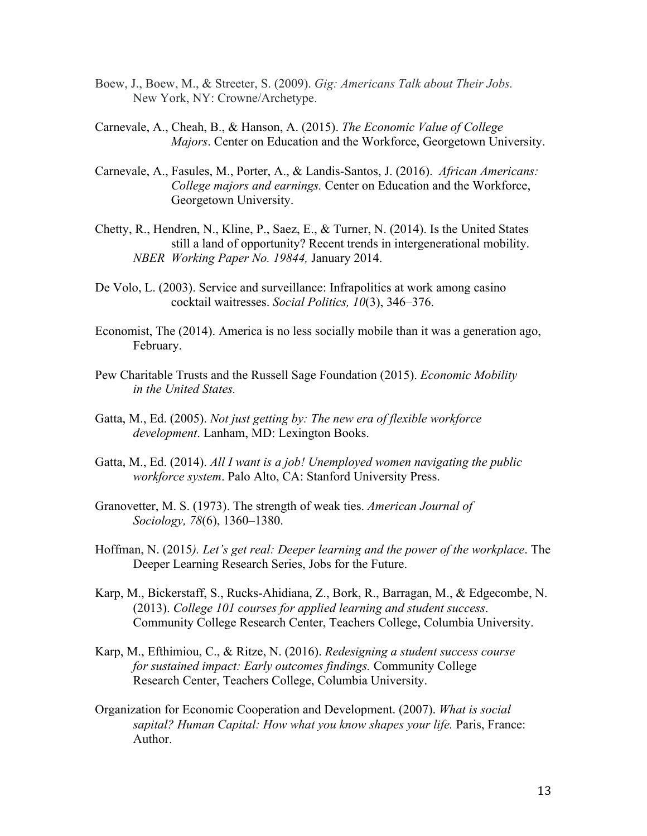- Boew, J., Boew, M., & Streeter, S. (2009). *Gig: Americans Talk about Their Jobs.* New York, NY: Crowne/Archetype.
- Carnevale, A., Cheah, B., & Hanson, A. (2015). *The Economic Value of College Majors*. Center on Education and the Workforce, Georgetown University.
- Carnevale, A., Fasules, M., Porter, A., & Landis-Santos, J. (2016). *African Americans: College majors and earnings.* Center on Education and the Workforce, Georgetown University.
- Chetty, R., Hendren, N., Kline, P., Saez, E., & Turner, N. (2014). Is the United States still a land of opportunity? Recent trends in intergenerational mobility. *NBER Working Paper No. 19844,* January 2014.
- De Volo, L. (2003). Service and surveillance: Infrapolitics at work among casino cocktail waitresses. *Social Politics, 10*(3), 346–376.
- Economist, The (2014). America is no less socially mobile than it was a generation ago, February.
- Pew Charitable Trusts and the Russell Sage Foundation (2015). *Economic Mobility in the United States.*
- Gatta, M., Ed. (2005). *Not just getting by: The new era of flexible workforce development*. Lanham, MD: Lexington Books.
- Gatta, M., Ed. (2014). *All I want is a job! Unemployed women navigating the public workforce system*. Palo Alto, CA: Stanford University Press.
- Granovetter, M. S. (1973). The strength of weak ties. *American Journal of Sociology, 78*(6), 1360–1380.
- Hoffman, N. (2015*). Let's get real: Deeper learning and the power of the workplace*. The Deeper Learning Research Series, Jobs for the Future.
- Karp, M., Bickerstaff, S., Rucks-Ahidiana, Z., Bork, R., Barragan, M., & Edgecombe, N. (2013). *College 101 courses for applied learning and student success*. Community College Research Center, Teachers College, Columbia University.
- Karp, M., Efthimiou, C., & Ritze, N. (2016). *Redesigning a student success course for sustained impact: Early outcomes findings.* Community College Research Center, Teachers College, Columbia University.
- Organization for Economic Cooperation and Development. (2007). *What is social sapital? Human Capital: How what you know shapes your life.* Paris, France: Author.